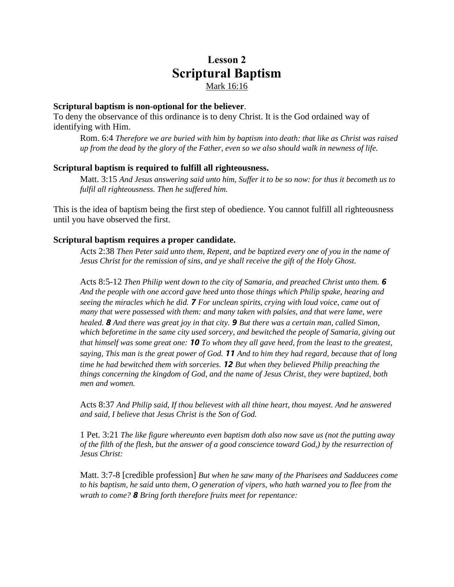# **Lesson 2 Scriptural Baptism** Mark 16:16

#### **Scriptural baptism is non-optional for the believer**.

To deny the observance of this ordinance is to deny Christ. It is the God ordained way of identifying with Him.

Rom. 6:4 *Therefore we are buried with him by baptism into death: that like as Christ was raised up from the dead by the glory of the Father, even so we also should walk in newness of life.*

#### **Scriptural baptism is required to fulfill all righteousness.**

Matt. 3:15 *And Jesus answering said unto him, Suffer it to be so now: for thus it becometh us to fulfil all righteousness. Then he suffered him.*

This is the idea of baptism being the first step of obedience. You cannot fulfill all righteousness until you have observed the first.

#### **Scriptural baptism requires a proper candidate.**

Acts 2:38 *Then Peter said unto them, Repent, and be baptized every one of you in the name of Jesus Christ for the remission of sins, and ye shall receive the gift of the Holy Ghost.*

Acts 8:5-12 *Then Philip went down to the city of Samaria, and preached Christ unto them. 6 And the people with one accord gave heed unto those things which Philip spake, hearing and seeing the miracles which he did. 7 For unclean spirits, crying with loud voice, came out of many that were possessed with them: and many taken with palsies, and that were lame, were healed. 8 And there was great joy in that city. 9 But there was a certain man, called Simon, which beforetime in the same city used sorcery, and bewitched the people of Samaria, giving out that himself was some great one: 10 To whom they all gave heed, from the least to the greatest, saying, This man is the great power of God. 11 And to him they had regard, because that of long time he had bewitched them with sorceries. 12 But when they believed Philip preaching the things concerning the kingdom of God, and the name of Jesus Christ, they were baptized, both men and women.*

Acts 8:37 *And Philip said, If thou believest with all thine heart, thou mayest. And he answered and said, I believe that Jesus Christ is the Son of God.*

1 Pet. 3:21 *The like figure whereunto even baptism doth also now save us (not the putting away of the filth of the flesh, but the answer of a good conscience toward God,) by the resurrection of Jesus Christ:*

Matt. 3:7-8 [credible profession] *But when he saw many of the Pharisees and Sadducees come to his baptism, he said unto them, O generation of vipers, who hath warned you to flee from the wrath to come? 8 Bring forth therefore fruits meet for repentance:*